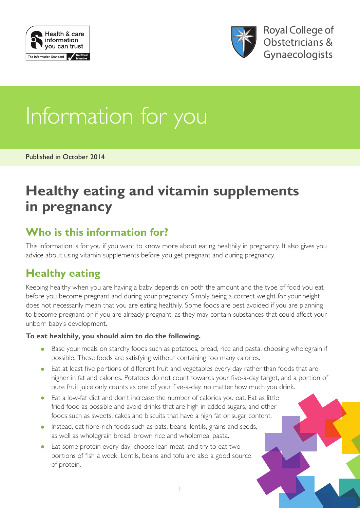



# Information for you

Published in October 2014

# **Healthy eating and vitamin supplements in pregnancy**

# **Who is this information for?**

This information is for you if you want to know more about eating healthily in pregnancy. It also gives you advice about using vitamin supplements before you get pregnant and during pregnancy.

# **Healthy eating**

Keeping healthy when you are having a baby depends on both the amount and the type of food you eat before you become pregnant and during your pregnancy. Simply being a correct weight for your height does not necessarily mean that you are eating healthily. Some foods are best avoided if you are planning to become pregnant or if you are already pregnant, as they may contain substances that could affect your unborn baby's development.

#### **To eat healthily, you should aim to do the following.**

- Base your meals on starchy foods such as potatoes, bread, rice and pasta, choosing wholegrain if possible. These foods are satisfying without containing too many calories.
- Eat at least five portions of different fruit and vegetables every day rather than foods that are higher in fat and calories. Potatoes do not count towards your five-a-day target, and a portion of pure fruit juice only counts as one of your five-a-day, no matter how much you drink.
- Eat a low-fat diet and don't increase the number of calories you eat. Eat as little fried food as possible and avoid drinks that are high in added sugars, and other foods such as sweets, cakes and biscuits that have a high fat or sugar content.
- Instead, eat fibre-rich foods such as oats, beans, lentils, grains and seeds, as well as wholegrain bread, brown rice and wholemeal pasta.
- Eat some protein every day; choose lean meat, and try to eat two portions of fish a week. Lentils, beans and tofu are also a good source of protein.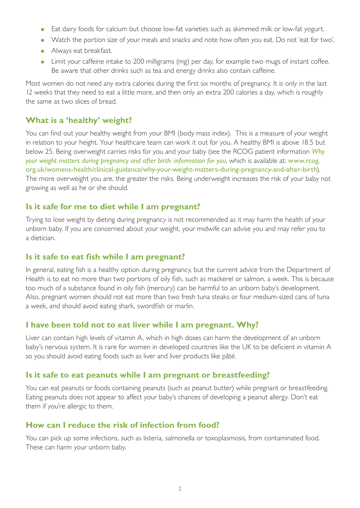- Eat dairy foods for calcium but choose low-fat varieties such as skimmed milk or low-fat yogurt.
- Watch the portion size of your meals and snacks and note how often you eat. Do not 'eat for two'.
- Always eat breakfast.
- Limit your caffeine intake to 200 milligrams (mg) per day, for example two mugs of instant coffee. Be aware that other drinks such as tea and energy drinks also contain caffeine.

Most women do not need any extra calories during the first six months of pregnancy. It is only in the last 12 weeks that they need to eat a little more, and then only an extra 200 calories a day, which is roughly the same as two slices of bread.

#### **What is a 'healthy' weight?**

You can find out your healthy weight from your BMI (body mass index). This is a measure of your weight in relation to your height. Your healthcare team can work it out for you. A healthy BMI is above 18.5 but below 25. Being overweight carries risks for you and your baby (see the RCOG patient information *[Why](http://www.rcog.org.uk/womens-health/clinical-guidance/why-your-weight-matters-during-pregnancy-and-after-birth)  [your weight matters during pregnancy and after birth: information for you](http://www.rcog.org.uk/womens-health/clinical-guidance/why-your-weight-matters-during-pregnancy-and-after-birth)*, which is available at: [www.rcog.](http://www.rcog.org.uk/womens-health/clinical-guidance/why-your-weight-matters-during-pregnancy-and-after-birth) [org.uk/womens-health/clinical-guidance/why-your-weight-matters-during-pregnancy-and-after-birth](http://www.rcog.org.uk/womens-health/clinical-guidance/why-your-weight-matters-during-pregnancy-and-after-birth)). The more overweight you are, the greater the risks. Being underweight increases the risk of your baby not growing as well as he or she should.

#### **Is it safe for me to diet while I am pregnant?**

Trying to lose weight by dieting during pregnancy is not recommended as it may harm the health of your unborn baby. If you are concerned about your weight, your midwife can advise you and may refer you to a dietician.

#### **Is it safe to eat fish while I am pregnant?**

In general, eating fish is a healthy option during pregnancy, but the current advice from the Department of Health is to eat no more than two portions of oily fish, such as mackerel or salmon, a week. This is because too much of a substance found in oily fish (mercury) can be harmful to an unborn baby's development. Also, pregnant women should not eat more than two fresh tuna steaks or four medium-sized cans of tuna a week, and should avoid eating shark, swordfish or marlin.

#### **I have been told not to eat liver while I am pregnant. Why?**

Liver can contain high levels of vitamin A, which in high doses can harm the development of an unborn baby's nervous system. It is rare for women in developed countries like the UK to be deficient in vitamin A so you should avoid eating foods such as liver and liver products like pâté.

#### **Is it safe to eat peanuts while I am pregnant or breastfeeding?**

You can eat peanuts or foods containing peanuts (such as peanut butter) while pregnant or breastfeeding. Eating peanuts does not appear to affect your baby's chances of developing a peanut allergy. Don't eat them if you're allergic to them.

#### **How can I reduce the risk of infection from food?**

You can pick up some infections, such as listeria, salmonella or toxoplasmosis, from contaminated food. These can harm your unborn baby.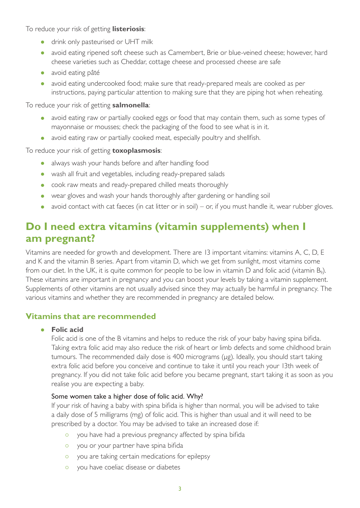To reduce your risk of getting **listeriosis**:

- drink only pasteurised or UHT milk
- avoid eating ripened soft cheese such as Camembert, Brie or blue-veined cheese; however, hard cheese varieties such as Cheddar, cottage cheese and processed cheese are safe
- avoid eating pâté
- avoid eating undercooked food; make sure that ready-prepared meals are cooked as per instructions, paying particular attention to making sure that they are piping hot when reheating.

To reduce your risk of getting **salmonella**:

- avoid eating raw or partially cooked eggs or food that may contain them, such as some types of mayonnaise or mousses; check the packaging of the food to see what is in it.
- avoid eating raw or partially cooked meat, especially poultry and shellfish.

To reduce your risk of getting **toxoplasmosis**:

- always wash your hands before and after handling food
- wash all fruit and vegetables, including ready-prepared salads
- cook raw meats and ready-prepared chilled meats thoroughly
- wear gloves and wash your hands thoroughly after gardening or handling soil
- avoid contact with cat faeces (in cat litter or in soil) or, if you must handle it, wear rubber gloves.

## **Do I need extra vitamins (vitamin supplements) when I am pregnant?**

Vitamins are needed for growth and development. There are 13 important vitamins: vitamins A, C, D, E and K and the vitamin B series. Apart from vitamin D, which we get from sunlight, most vitamins come from our diet. In the UK, it is quite common for people to be low in vitamin D and folic acid (vitamin  $B<sub>9</sub>$ ). These vitamins are important in pregnancy and you can boost your levels by taking a vitamin supplement. Supplements of other vitamins are not usually advised since they may actually be harmful in pregnancy. The various vitamins and whether they are recommended in pregnancy are detailed below.

#### **Vitamins that are recommended**

#### • **Folic acid**

Folic acid is one of the B vitamins and helps to reduce the risk of your baby having spina bifida. Taking extra folic acid may also reduce the risk of heart or limb defects and some childhood brain tumours. The recommended daily dose is 400 micrograms (µg). Ideally, you should start taking extra folic acid before you conceive and continue to take it until you reach your 13th week of pregnancy. If you did not take folic acid before you became pregnant, start taking it as soon as you realise you are expecting a baby.

#### Some women take a higher dose of folic acid. Why?

If your risk of having a baby with spina bifida is higher than normal, you will be advised to take a daily dose of 5 milligrams (mg) of folic acid. This is higher than usual and it will need to be prescribed by a doctor. You may be advised to take an increased dose if:

- o you have had a previous pregnancy affected by spina bifida
- o you or your partner have spina bifida
- o you are taking certain medications for epilepsy
- { you have coeliac disease or diabetes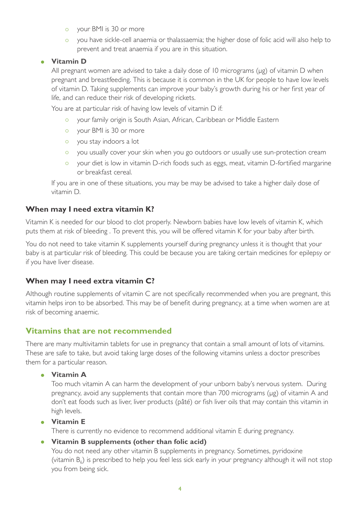- { your BMI is 30 or more
- { you have sickle-cell anaemia or thalassaemia; the higher dose of folic acid will also help to prevent and treat anaemia if you are in this situation.

#### • **Vitamin D**

All pregnant women are advised to take a daily dose of 10 micrograms (µg) of vitamin D when pregnant and breastfeeding. This is because it is common in the UK for people to have low levels of vitamin D. Taking supplements can improve your baby's growth during his or her first year of life, and can reduce their risk of developing rickets.

You are at particular risk of having low levels of vitamin D if:

- { your family origin is South Asian, African, Caribbean or Middle Eastern
- { your BMI is 30 or more
- o you stay indoors a lot
- o you usually cover your skin when you go outdoors or usually use sun-protection cream
- o your diet is low in vitamin D-rich foods such as eggs, meat, vitamin D-fortified margarine or breakfast cereal.

If you are in one of these situations, you may be may be advised to take a higher daily dose of vitamin D.

#### **When may I need extra vitamin K?**

Vitamin K is needed for our blood to clot properly. Newborn babies have low levels of vitamin K, which puts them at risk of bleeding . To prevent this, you will be offered vitamin K for your baby after birth.

You do not need to take vitamin K supplements yourself during pregnancy unless it is thought that your baby is at particular risk of bleeding. This could be because you are taking certain medicines for epilepsy or if you have liver disease.

#### **When may I need extra vitamin C?**

Although routine supplements of vitamin C are not specifically recommended when you are pregnant, this vitamin helps iron to be absorbed. This may be of benefit during pregnancy, at a time when women are at risk of becoming anaemic.

#### **Vitamins that are not recommended**

There are many multivitamin tablets for use in pregnancy that contain a small amount of lots of vitamins. These are safe to take, but avoid taking large doses of the following vitamins unless a doctor prescribes them for a particular reason.

• **Vitamin A**

Too much vitamin A can harm the development of your unborn baby's nervous system. During pregnancy, avoid any supplements that contain more than 700 micrograms (µg) of vitamin A and don't eat foods such as liver, liver products (pâté) or fish liver oils that may contain this vitamin in high levels.

#### • **Vitamin E**

There is currently no evidence to recommend additional vitamin E during pregnancy.

#### • **Vitamin B supplements (other than folic acid)**

You do not need any other vitamin B supplements in pregnancy. Sometimes, pyridoxine (vitamin  $B_6$ ) is prescribed to help you feel less sick early in your pregnancy although it will not stop you from being sick.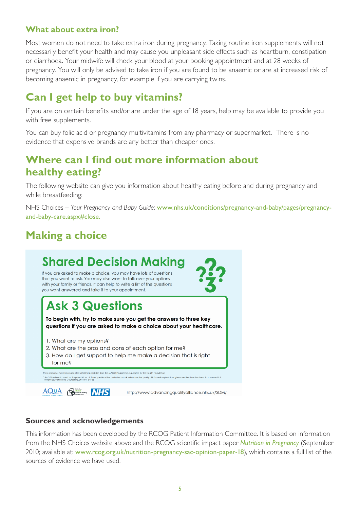#### **What about extra iron?**

Most women do not need to take extra iron during pregnancy. Taking routine iron supplements will not necessarily benefit your health and may cause you unpleasant side effects such as heartburn, constipation or diarrhoea. Your midwife will check your blood at your booking appointment and at 28 weeks of pregnancy. You will only be advised to take iron if you are found to be anaemic or are at increased risk of becoming anaemic in pregnancy, for example if you are carrying twins.

# **Can I get help to buy vitamins?**

If you are on certain benefits and/or are under the age of 18 years, help may be available to provide you with free supplements.

You can buy folic acid or pregnancy multivitamins from any pharmacy or supermarket. There is no evidence that expensive brands are any better than cheaper ones.

### **Where can I find out more information about healthy eating?**

The following website can give you information about healthy eating before and during pregnancy and while breastfeeding:

NHS Choices – *Your Pregnancy and Baby Guide*: www.nhs.uk/conditions/pregnancy-and-baby/pages/pregnancyand-baby-care.aspx#close.

# **Making a choice**



#### **Sources and acknowledgements**

This information has been developed by the RCOG Patient Information Committee. It is based on information from the NHS Choices website above and the RCOG scientific impact paper *[Nutrition in Pregnancy](http://www.rcog.org.uk/nutrition-pregnancy-sac-opinion-paper-18)* (September 2010; available at: [www.rcog.org.uk/nutrition-pregnancy-sac-opinion-paper-18](http://www.rcog.org.uk/nutrition-pregnancy-sac-opinion-paper-18)), which contains a full list of the sources of evidence we have used.